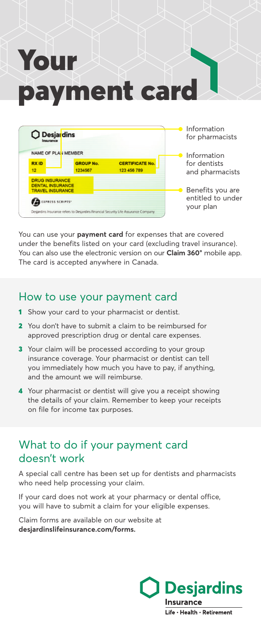# Your payment card



You can use your **payment card** for expenses that are covered under the benefits listed on your card (excluding travel insurance). You can also use the electronic version on our **Claim 360°** mobile app. The card is accepted anywhere in Canada.

#### How to use your payment card

- 1 Show your card to your pharmacist or dentist.
- 2 You don't have to submit a claim to be reimbursed for approved prescription drug or dental care expenses.
- 3 Your claim will be processed according to your group insurance coverage. Your pharmacist or dentist can tell you immediately how much you have to pay, if anything, and the amount we will reimburse.
- 4 Your pharmacist or dentist will give you a receipt showing the details of your claim. Remember to keep your receipts on file for income tax purposes.

## What to do if your payment card doesn't work

A special call centre has been set up for dentists and pharmacists who need help processing your claim.

If your card does not work at your pharmacy or dental office, you will have to submit a claim for your eligible expenses.

Claim forms are available on our website at **desjardinslifeinsurance.com/forms.**